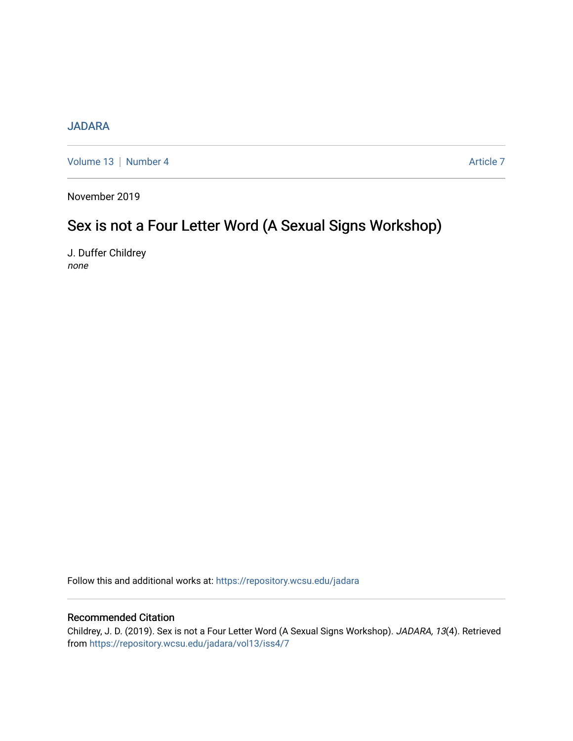# [JADARA](https://repository.wcsu.edu/jadara)

[Volume 13](https://repository.wcsu.edu/jadara/vol13) | [Number 4](https://repository.wcsu.edu/jadara/vol13/iss4) Article 7

November 2019

# Sex is not a Four Letter Word (A Sexual Signs Workshop)

J. Duffer Childrey none

Follow this and additional works at: [https://repository.wcsu.edu/jadara](https://repository.wcsu.edu/jadara?utm_source=repository.wcsu.edu%2Fjadara%2Fvol13%2Fiss4%2F7&utm_medium=PDF&utm_campaign=PDFCoverPages)

## Recommended Citation

Childrey, J. D. (2019). Sex is not a Four Letter Word (A Sexual Signs Workshop). JADARA, 13(4). Retrieved from [https://repository.wcsu.edu/jadara/vol13/iss4/7](https://repository.wcsu.edu/jadara/vol13/iss4/7?utm_source=repository.wcsu.edu%2Fjadara%2Fvol13%2Fiss4%2F7&utm_medium=PDF&utm_campaign=PDFCoverPages)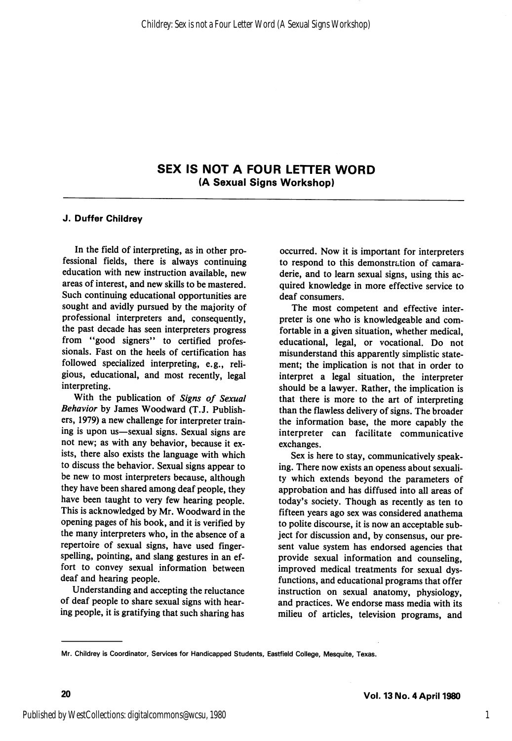## SEX IS NOT A FOUR LETTER WORD (A Sexual Signs Workshop)

### J. Duffer Childrey

In the field of interpreting, as in other pro fessional fields, there is always continuing education with new instruction available, new areas of interest, and new skills to be mastered. Such continuing educational opportunities are sought and avidly pursued by the majority of professional interpreters and, consequently, the past decade has seen interpreters progress from "good signers" to certified professionals. Fast on the heels of certification has followed specialized interpreting, e.g., reli gious, educational, and most recently, legal interpreting.

With the publication of Signs of Sexual Behavior by James Woodward (T.J. Publish ers, 1979) a new challenge for interpreter train ing is upon us—sexual signs. Sexual signs are not new; as with any behavior, because it ex ists, there also exists the language with which to discuss the behavior. Sexual signs appear to be new to most interpreters because, although they have been shared among deaf people, they have been taught to very few hearing people. This is acknowledged by Mr. Woodward in the opening pages of his book, and it is verified by the many interpreters who, in the absence of a repertoire of sexual signs, have used fingerspelling, pointing, and slang gestures in an ef fort to convey sexual information between deaf and hearing people.

Understanding and accepting the reluctance of deaf people to share sexual signs with hear ing people, it is gratifying that such sharing has

occurred. Now it is important for interpreters to respond to this demonstration of camara derie, and to learn sexual signs, using this ac quired knowledge in more effective service to deaf consumers.

The most competent and effective inter preter is one who is knowledgeable and com fortable in a given situation, whether medical, educational, legal, or vocational. Do not misunderstand this apparently simplistic state ment; the implication is not that in order to interpret a legal situation, the interpreter should be a lawyer. Rather, the implication is that there is more to the art of interpreting than the flawless delivery of signs. The broader the information base, the more capably the interpreter can facilitate communicative exchanges.

Sex is here to stay, communicatively speak ing. There now exists an openess about sexuali ty which extends beyond the parameters of approbation and has diffused into all areas of today's society. Though as recently as ten to fifteen years ago sex was considered anathema to polite discourse, it is now an acceptable sub ject for discussion and, by consensus, our pre sent value system has endorsed agencies that provide sexual information and counseling, improved medical treatments for sexual dys functions, and educational programs that offer instruction on sexual anatomy, physiology, and practices. We endorse mass media with its milieu of articles, television programs, and

Mr. Childrey is Coordinator, Services for Handicapped Students, Eastfield College, Mesquite, Texas.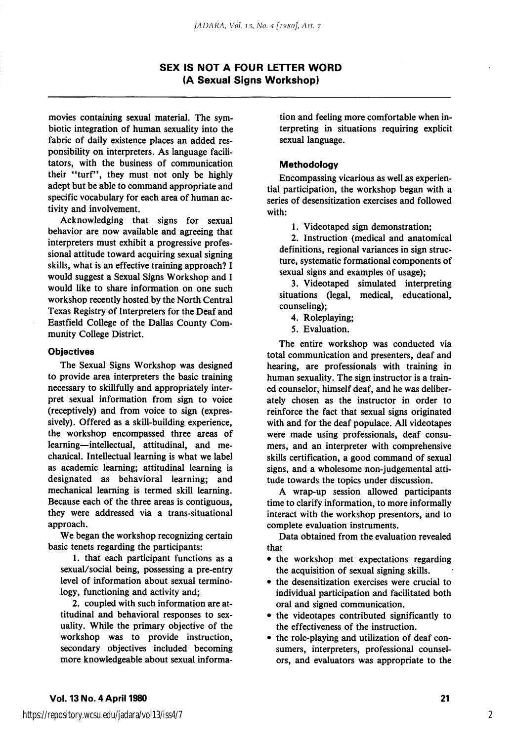## SEX IS NOT A FOUR LETTER WORD (A Sexual Signs Workshop)

movies containing sexual material. The sym biotic integration of human sexuality into the fabric of daily existence places an added res ponsibility on interpreters. As language facili tators, with the business of communication their "turf", they must not only be highly adept but be able to command appropriate and specific vocabulary for each area of human ac tivity and involvement.

Acknowledging that signs for sexual behavior are now available and agreeing that interpreters must exhibit a progressive profes sional attitude toward acquiring sexual signing skills, what is an effective training approach? I would suggest a Sexual Signs Workshop and I would like to share information on one such workshop recently hosted by the North Central Texas Registry of Interpreters for the Deaf and Eastfield College of the Dallas County Com munity College District.

#### **Objectives**

The Sexual Signs Workshop was designed to provide area interpreters the basic training necessary to skillfully and appropriately inter pret sexual information from sign to voice (receptively) and from voice to sign (expres sively). Offered as a skill-building experience, the workshop encompassed three areas of learning—intellectual, attitudinal, and me chanical. Intellectual learning is what we label as academic learning; attitudinal learning is designated as behavioral learning; and mechanical learning is termed skill learning. Because each of the three areas is contiguous, they were addressed via a trans-situational approach.

We began the workshop recognizing certain basic tenets regarding the participants:

1. that each participant functions as a sexual/social being, possessing a pre-entry level of information about sexual termino logy, functioning and activity and;

2. coupled with such information are at titudinal and behavioral responses to sex uality. While the primary objective of the workshop was to provide instruction, secondary objectives included becoming more knowledgeable about sexual informa

tion and feeling more comfortable when in terpreting in situations requiring explicit sexual language.

#### Methodology

Encompassing vicarious as well as experien tial participation, the workshop began with a series of desensitization exercises and followed with:

1. Videotaped sign demonstration;

2. Instruction (medical and anatomical definitions, regional variances in sign struc ture, systematic formational components of sexual signs and examples of usage);

3. Videotaped simulated interpreting situations (legal, medical, educational, counseling);

- 4. Roleplaying;
- 5. Evaluation.

The entire workshop was conducted via total communication and presenters, deaf and hearing, are professionals with training in human sexuality. The sign instructor is a train ed counselor, himself deaf, and he was deliber ately chosen as the instructor in order to reinforce the fact that sexual signs originated with and for the deaf populace. All videotapes were made using professionals, deaf consu mers, and an interpreter with comprehensive skills certification, a good command of sexual signs, and a wholesome non-judgemental atti tude towards the topics under discussion.

A wrap-up session allowed participants time to clarify information, to more informally interact with the workshop presentors, and to complete evaluation instruments.

Data obtained from the evaluation revealed that

- the workshop met expectations regarding the acquisition of sexual signing skills.
- the desensitization exercises were crucial to individual participation and facilitated both oral and signed communication.
- the videotapes contributed significantly to the effectiveness of the instruction.
- the role-playing and utilization of deaf con sumers, interpreters, professional counsel ors, and evaluators was appropriate to the

2